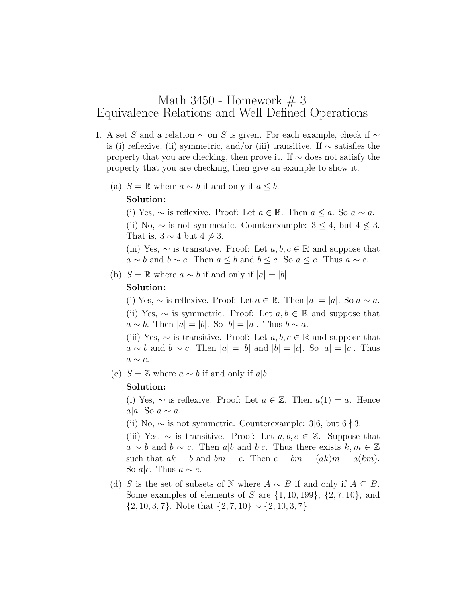# Math 3450 - Homework  $# 3$ Equivalence Relations and Well-Defined Operations

- 1. A set S and a relation  $\sim$  on S is given. For each example, check if  $\sim$ is (i) reflexive, (ii) symmetric, and/or (iii) transitive. If ∼ satisfies the property that you are checking, then prove it. If ∼ does not satisfy the property that you are checking, then give an example to show it.
	- (a)  $S = \mathbb{R}$  where  $a \sim b$  if and only if  $a \leq b$ .

#### Solution:

(i) Yes,  $\sim$  is reflexive. Proof: Let  $a \in \mathbb{R}$ . Then  $a \leq a$ . So  $a \sim a$ . (ii) No,  $\sim$  is not symmetric. Counterexample:  $3 \leq 4$ , but  $4 \nleq 3$ . That is,  $3 \sim 4$  but  $4 \not\sim 3$ .

(iii) Yes,  $\sim$  is transitive. Proof: Let  $a, b, c \in \mathbb{R}$  and suppose that  $a \sim b$  and  $b \sim c$ . Then  $a \leq b$  and  $b \leq c$ . So  $a \leq c$ . Thus  $a \sim c$ .

(b)  $S = \mathbb{R}$  where  $a \sim b$  if and only if  $|a| = |b|$ .

#### Solution:

(i) Yes,  $\sim$  is reflexive. Proof: Let  $a \in \mathbb{R}$ . Then  $|a| = |a|$ . So  $a \sim a$ . (ii) Yes,  $\sim$  is symmetric. Proof: Let  $a, b \in \mathbb{R}$  and suppose that  $a \sim b$ . Then  $|a| = |b|$ . So  $|b| = |a|$ . Thus  $b \sim a$ .

(iii) Yes,  $\sim$  is transitive. Proof: Let  $a, b, c \in \mathbb{R}$  and suppose that  $a \sim b$  and  $b \sim c$ . Then  $|a| = |b|$  and  $|b| = |c|$ . So  $|a| = |c|$ . Thus  $a \sim c$ .

(c)  $S = \mathbb{Z}$  where  $a \sim b$  if and only if a|b.

#### Solution:

(i) Yes,  $\sim$  is reflexive. Proof: Let  $a \in \mathbb{Z}$ . Then  $a(1) = a$ . Hence a|a. So  $a \sim a$ .

(ii) No,  $\sim$  is not symmetric. Counterexample: 3|6, but 6  $\dagger$  3.

(iii) Yes,  $\sim$  is transitive. Proof: Let  $a, b, c \in \mathbb{Z}$ . Suppose that  $a \sim b$  and  $b \sim c$ . Then  $a|b$  and  $b|c$ . Thus there exists  $k, m \in \mathbb{Z}$ such that  $ak = b$  and  $bm = c$ . Then  $c = bm = (ak)m = a(km)$ . So a|c. Thus  $a \sim c$ .

(d) S is the set of subsets of N where  $A \sim B$  if and only if  $A \subseteq B$ . Some examples of elements of S are  $\{1, 10, 199\}$ ,  $\{2, 7, 10\}$ , and  $\{2, 10, 3, 7\}$ . Note that  $\{2, 7, 10\} \sim \{2, 10, 3, 7\}$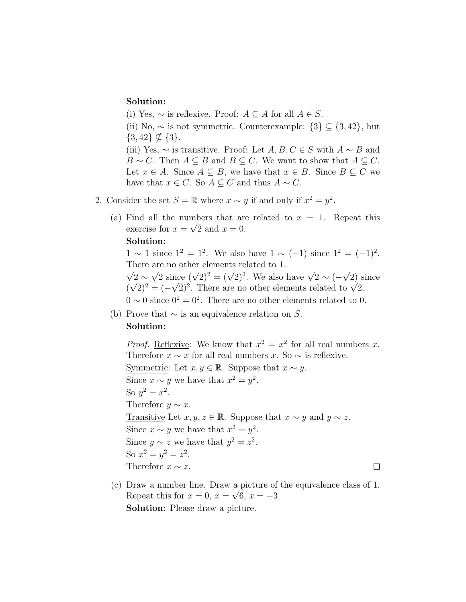## Solution:

(i) Yes,  $\sim$  is reflexive. Proof:  $A \subseteq A$  for all  $A \in S$ .

(ii) No,  $\sim$  is not symmetric. Counterexample:  $\{3\} \subseteq \{3, 42\}$ , but  $\{3, 42\} \nsubseteq \{3\}.$ (iii) Yes,  $\sim$  is transitive. Proof: Let  $A, B, C \in S$  with  $A \sim B$  and

 $B \sim C$ . Then  $A \subseteq B$  and  $B \subseteq C$ . We want to show that  $A \subseteq C$ . Let  $x \in A$ . Since  $A \subseteq B$ , we have that  $x \in B$ . Since  $B \subseteq C$  we have that  $x \in C$ . So  $A \subseteq C$  and thus  $A \sim C$ .

- 2. Consider the set  $S = \mathbb{R}$  where  $x \sim y$  if and only if  $x^2 = y^2$ .
	- (a) Find all the numbers that are related to  $x = 1$ . Repeat this exercise for  $x = \sqrt{2}$  and  $x = 0$ .

## Solution:

 $1 \sim 1$  since  $1^2 = 1^2$ . We also have  $1 \sim (-1)$  since  $1^2 = (-1)^2$ . There are no other elements related to 1.  $\frac{1}{\sqrt{2}}$ √

 $2 \sim$ are no other elements related to 1.<br> $\sqrt{2}$  since  $(\sqrt{2})^2 = (\sqrt{2})^2$ . We also have  $\sqrt{2} \sim (-1)$ 2) since ( √  $\overline{2})^2 = (-$ √  $(2e)(\sqrt{2})^2 = (\sqrt{2})^2$ . We also have  $\sqrt{2} \sim (-\sqrt{2})^2$ .<br>
There are no other elements related to  $\sqrt{2}$ .  $0 \sim 0$  since  $0^2 = 0^2$ . There are no other elements related to 0.

(b) Prove that  $\sim$  is an equivalence relation on S.

# Solution:

*Proof.* Reflexive: We know that  $x^2 = x^2$  for all real numbers x. Therefore  $x \sim x$  for all real numbers x. So  $\sim$  is reflexive. Symmetric: Let  $x, y \in \mathbb{R}$ . Suppose that  $x \sim y$ . Since  $x \sim y$  we have that  $x^2 = y^2$ . So  $y^2 = x^2$ . Therefore  $y \sim x$ . Transitive Let  $x, y, z \in \mathbb{R}$ . Suppose that  $x \sim y$  and  $y \sim z$ . Since  $x \sim y$  we have that  $x^2 = y^2$ . Since  $y \sim z$  we have that  $y^2 = z^2$ . So  $x^2 = y^2 = z^2$ . Therefore  $x \sim z$ .  $\Box$ 

(c) Draw a number line. Draw a picture of the equivalence class of 1. Repeat this for  $x = 0$ ,  $x = \sqrt{6}$ ,  $x = -3$ . Solution: Please draw a picture.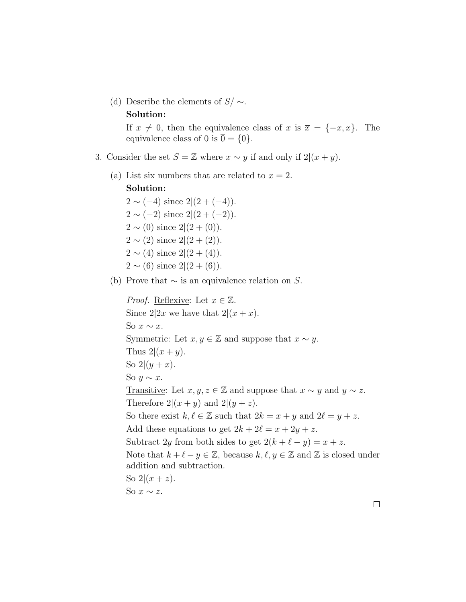(d) Describe the elements of  $S/\sim$ . Solution:

> If  $x \neq 0$ , then the equivalence class of x is  $\overline{x} = \{-x, x\}$ . The equivalence class of 0 is  $0 = \{0\}.$

- 3. Consider the set  $S = \mathbb{Z}$  where  $x \sim y$  if and only if  $2|(x + y)$ .
	- (a) List six numbers that are related to  $x = 2$ . Solution:

 $2 \sim (-4)$  since  $2|(2+(-4))$ .  $2 \sim (-2)$  since  $2|(2+(-2))$ .  $2 \sim (0)$  since  $2|(2+(0))$ .  $2 \sim (2)$  since  $2|(2+(2))$ .  $2 \sim (4)$  since  $2|(2+(4))$ .  $2 \sim (6)$  since  $2|(2+(6))$ .

(b) Prove that  $\sim$  is an equivalence relation on S.

*Proof.* Reflexive: Let  $x \in \mathbb{Z}$ . Since  $2|2x$  we have that  $2|(x+x)$ . So  $x \sim x$ . Symmetric: Let  $x, y \in \mathbb{Z}$  and suppose that  $x \sim y$ . Thus  $2|(x + y)$ . So  $2|(y+x)$ . So  $y \sim x$ . Transitive: Let  $x, y, z \in \mathbb{Z}$  and suppose that  $x \sim y$  and  $y \sim z$ . Therefore  $2|(x + y)$  and  $2|(y + z)$ . So there exist  $k, \ell \in \mathbb{Z}$  such that  $2k = x + y$  and  $2\ell = y + z$ . Add these equations to get  $2k + 2\ell = x + 2y + z$ . Subtract 2y from both sides to get  $2(k + \ell - y) = x + z$ . Note that  $k + \ell - y \in \mathbb{Z}$ , because  $k, \ell, y \in \mathbb{Z}$  and  $\mathbb{Z}$  is closed under addition and subtraction. So  $2(x + z)$ . So  $x \sim z$ .

 $\Box$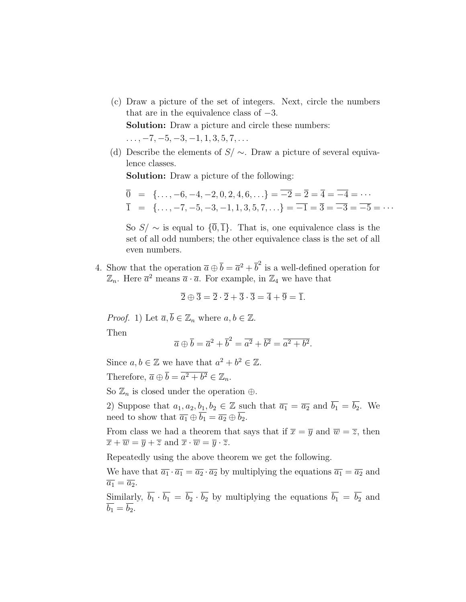(c) Draw a picture of the set of integers. Next, circle the numbers that are in the equivalence class of  $-3$ .

Solution: Draw a picture and circle these numbers:  $\ldots, -7, -5, -3, -1, 1, 3, 5, 7, \ldots$ 

(d) Describe the elements of  $S/\sim$ . Draw a picture of several equivalence classes.

Solution: Draw a picture of the following:

$$
\overline{0} = \{ \dots, -6, -4, -2, 0, 2, 4, 6, \dots \} = \overline{-2} = \overline{2} = \overline{4} = \overline{-4} = \dots
$$
  

$$
\overline{1} = \{ \dots, -7, -5, -3, -1, 1, 3, 5, 7, \dots \} = \overline{-1} = \overline{3} = \overline{-3} = \overline{-5} = \dots
$$

So  $S/\sim$  is equal to  $\{\overline{0},\overline{1}\}\$ . That is, one equivalence class is the set of all odd numbers; the other equivalence class is the set of all even numbers.

4. Show that the operation  $\bar{a} \oplus \bar{b} = \bar{a}^2 + \bar{b}^2$  is a well-defined operation for  $\mathbb{Z}_n$ . Here  $\bar{a}^2$  means  $\bar{a} \cdot \bar{a}$ . For example, in  $\mathbb{Z}_4$  we have that

$$
\overline{2} \oplus \overline{3} = \overline{2} \cdot \overline{2} + \overline{3} \cdot \overline{3} = \overline{4} + \overline{9} = \overline{1}.
$$

*Proof.* 1) Let  $\overline{a}, \overline{b} \in \mathbb{Z}_n$  where  $a, b \in \mathbb{Z}$ .

Then

$$
\overline{a} \oplus \overline{b} = \overline{a}^2 + \overline{b}^2 = \overline{a^2} + \overline{b^2} = \overline{a^2 + b^2}.
$$

Since  $a, b \in \mathbb{Z}$  we have that  $a^2 + b^2 \in \mathbb{Z}$ . Therefore,  $\overline{a} \oplus \overline{b} = \overline{a^2 + b^2} \in \mathbb{Z}_n$ .

So  $\mathbb{Z}_n$  is closed under the operation  $\oplus$ .

2) Suppose that  $a_1, a_2, b_1, b_2 \in \mathbb{Z}$  such that  $\overline{a_1} = \overline{a_2}$  and  $\overline{b_1} = \overline{b_2}$ . We need to show that  $\overline{a_1} \oplus \overline{b_1} = \overline{a_2} \oplus \overline{b_2}$ .

From class we had a theorem that says that if  $\overline{x} = \overline{y}$  and  $\overline{w} = \overline{z}$ , then  $\overline{x} + \overline{w} = \overline{y} + \overline{z}$  and  $\overline{x} \cdot \overline{w} = \overline{y} \cdot \overline{z}$ .

Repeatedly using the above theorem we get the following.

We have that  $\overline{a_1} \cdot \overline{a_1} = \overline{a_2} \cdot \overline{a_2}$  by multiplying the equations  $\overline{a_1} = \overline{a_2}$  and  $\overline{a_1} = \overline{a_2}.$ 

Similarly,  $\overline{b_1} \cdot \overline{b_1} = \overline{b_2} \cdot \overline{b_2}$  by multiplying the equations  $\overline{b_1} = \overline{b_2}$  and  $\overline{b_1} = \overline{b_2}.$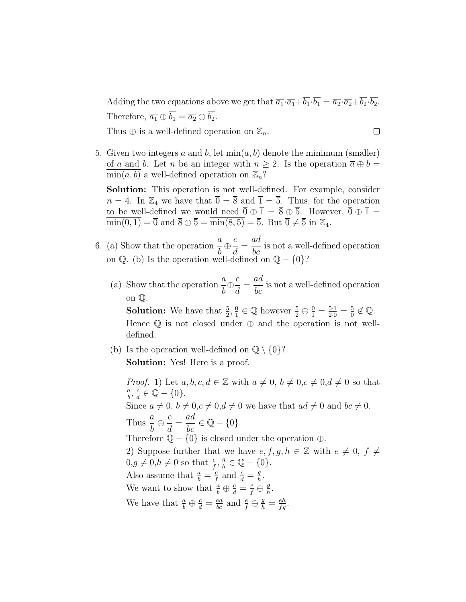Adding the two equations above we get that  $\overline{a_1} \cdot \overline{a_1} + \overline{b_1} \cdot \overline{b_1} = \overline{a_2} \cdot \overline{a_2} + \overline{b_2} \cdot \overline{b_2}$ . Therefore,  $\overline{a_1} \oplus \overline{b_1} = \overline{a_2} \oplus \overline{b_2}$ .

Thus  $\oplus$  is a well-defined operation on  $\mathbb{Z}_n$ .

- $\Box$
- 5. Given two integers a and b, let  $\min(a, b)$  denote the minimum (smaller) of a and b. Let n be an integer with  $n \geq 2$ . Is the operation  $\overline{a} \oplus \overline{b} =$  $\min(a, b)$  a well-defined operation on  $\mathbb{Z}_n$ ?

Solution: This operation is not well-defined. For example, consider  $n = 4$ . In  $\mathbb{Z}_4$  we have that  $\overline{0} = \overline{8}$  and  $\overline{1} = \overline{5}$ . Thus, for the operation to be well-defined we would need  $\overline{0} \oplus \overline{1} = \overline{8} \oplus \overline{5}$ . However,  $\overline{0} \oplus \overline{1} =$  $\overline{\min(0, 1)} = \overline{0}$  and  $\overline{8} \oplus \overline{5} = \overline{\min(8, 5)} = \overline{5}$ . But  $\overline{0} \neq \overline{5}$  in  $\mathbb{Z}_4$ .

- 6. (a) Show that the operation  $\frac{a}{b}$ b  $\oplus \frac{c}{\lceil c \rceil}$ d = ad  $\frac{du}{bc}$  is not a well-defined operation on  $\mathbb{Q}$ . (b) Is the operation well-defined on  $\mathbb{Q} - \{0\}$ ?
	- (a) Show that the operation  $\frac{a}{b}$ b  $\oplus \frac{c}{\overline{c}}$ d = ad  $\frac{du}{bc}$  is not a well-defined operation on Q.

**Solution:** We have that  $\frac{5}{2}, \frac{0}{1}$  $\frac{0}{1} \in \mathbb{Q}$  however  $\frac{5}{2} \oplus \frac{0}{1} = \frac{5 \cdot 1}{2 \cdot 0} = \frac{5}{0}$  $\frac{5}{0} \notin \mathbb{Q}$ . Hence  $\mathbb Q$  is not closed under  $\oplus$  and the operation is not welldefined.

(b) Is the operation well-defined on  $\mathbb{Q} \setminus \{0\}$ ? Solution: Yes! Here is a proof.

*Proof.* 1) Let  $a, b, c, d \in \mathbb{Z}$  with  $a \neq 0, b \neq 0, c \neq 0, d \neq 0$  so that  $\overline{a}$  $\frac{a}{b}$ ,  $\frac{c}{d}$  $\frac{c}{d} \in \mathbb{Q} - \{0\}.$ Since  $a \neq 0$ ,  $b \neq 0$ ,  $c \neq 0$ ,  $d \neq 0$  we have that  $ad \neq 0$  and  $bc \neq 0$ . Thus  $\frac{a}{1}$ b  $\oplus$   $\frac{c}{\overline{d}}$ d =  $\frac{ad}{bc} \in \mathbb{Q} - \{0\}.$ Therefore  $\mathbb{Q} - \{0\}$  is closed under the operation  $\oplus$ . 2) Suppose further that we have  $e, f, g, h \in \mathbb{Z}$  with  $e \neq 0, f \neq$  $0, g \neq 0, h \neq 0$  so that  $\frac{e}{f}, \frac{g}{h}$  $\frac{g}{h} \in \mathbb{Q} - \{0\}.$ Also assume that  $\frac{a}{b} = \frac{e}{f}$  $\frac{e}{f}$  and  $\frac{c}{d} = \frac{g}{h}$  $\frac{g}{h}$ . We want to show that  $\frac{a}{b} \oplus \frac{c}{d} = \frac{e}{f} \oplus \frac{g}{h}$  $\frac{g}{h}$ . We have that  $\frac{a}{b} \oplus \frac{c}{d} = \frac{ad}{bc}$  and  $\frac{e}{f} \oplus \frac{g}{h} = \frac{eh}{fg}$ .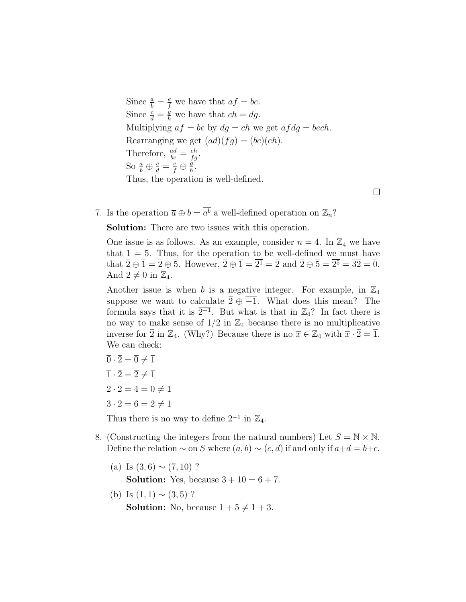Since  $\frac{a}{b} = \frac{e}{f}$  we have that  $af = be$ . Since  $\frac{c}{d} = \frac{g}{h}$  we have that  $ch = dg$ . Multiplying  $af = be$  by  $dg = ch$  we get  $af dg = bech$ . Rearranging we get  $(ad)(fg) = (bc)(eh)$ . Therefore,  $\frac{ad}{bc} = \frac{eh}{fg}$ . So  $\frac{a}{b} \oplus \frac{c}{d} = \frac{e}{f} \oplus \frac{g}{h}$  $\frac{g}{h}$ . Thus, the operation is well-defined.

7. Is the operation  $\bar{a} \oplus \bar{b} = \bar{a}^{\bar{b}}$  a well-defined operation on  $\mathbb{Z}_n$ ?

Solution: There are two issues with this operation.

One issue is as follows. As an example, consider  $n = 4$ . In  $\mathbb{Z}_4$  we have that  $\overline{1} = \overline{5}$ . Thus, for the operation to be well-defined we must have that  $\overline{2} \oplus \overline{1} = \overline{2} \oplus \overline{5}$ . However,  $\overline{2} \oplus \overline{1} = 2^1 = \overline{2}$  and  $\overline{2} \oplus \overline{5} = 2^5 = \overline{32} = \overline{0}$ . And  $\overline{2} \neq \overline{0}$  in  $\mathbb{Z}_4$ .

 $\Box$ 

Another issue is when b is a negative integer. For example, in  $\mathbb{Z}_4$ suppose we want to calculate  $\overline{2} \oplus \overline{-1}$ . What does this mean? The formula says that it is  $\overline{2^{-1}}$ . But what is that in  $\mathbb{Z}_4$ ? In fact there is no way to make sense of  $1/2$  in  $\mathbb{Z}_4$  because there is no multiplicative inverse for  $\overline{2}$  in  $\mathbb{Z}_4$ . (Why?) Because there is no  $\overline{x} \in \mathbb{Z}_4$  with  $\overline{x} \cdot \overline{2} = \overline{1}$ . We can check:

$$
\overline{0} \cdot \overline{2} = \overline{0} \neq \overline{1}
$$
  

$$
\overline{1} \cdot \overline{2} = \overline{2} \neq \overline{1}
$$
  

$$
\overline{2} \cdot \overline{2} = \overline{4} = \overline{0} \neq \overline{1}
$$
  

$$
\overline{3} \cdot \overline{2} = \overline{6} = \overline{2} \neq \overline{1}
$$

Thus there is no way to define  $\overline{2^{-1}}$  in  $\mathbb{Z}_4$ .

- 8. (Constructing the integers from the natural numbers) Let  $S = N \times N$ . Define the relation  $\sim$  on S where  $(a, b) \sim (c, d)$  if and only if  $a+d = b+c$ .
	- (a) Is  $(3,6) \sim (7,10)$  ? **Solution:** Yes, because  $3 + 10 = 6 + 7$ .
	- (b) Is  $(1, 1) \sim (3, 5)$ ? **Solution:** No, because  $1 + 5 \neq 1 + 3$ .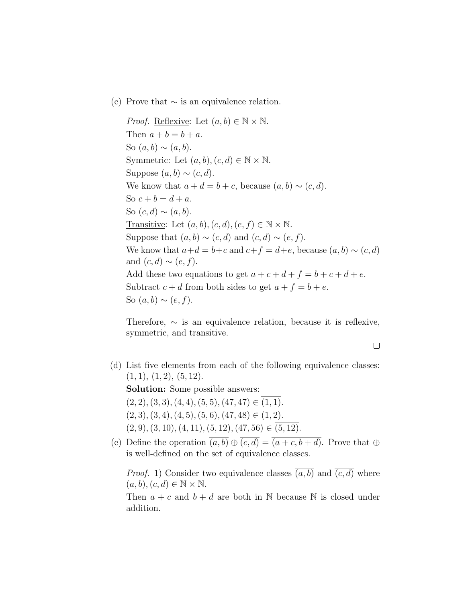(c) Prove that  $\sim$  is an equivalence relation.

*Proof.* Reflexive: Let  $(a, b) \in \mathbb{N} \times \mathbb{N}$ . Then  $a + b = b + a$ . So  $(a, b) \sim (a, b)$ . Symmetric: Let  $(a, b), (c, d) \in \mathbb{N} \times \mathbb{N}$ . Suppose  $(a, b) \sim (c, d)$ . We know that  $a + d = b + c$ , because  $(a, b) \sim (c, d)$ . So  $c + b = d + a$ . So  $(c, d) \sim (a, b)$ . Transitive: Let  $(a, b), (c, d), (e, f) \in \mathbb{N} \times \mathbb{N}$ . Suppose that  $(a, b) \sim (c, d)$  and  $(c, d) \sim (e, f)$ . We know that  $a+d = b+c$  and  $c+f = d+e$ , because  $(a, b) \sim (c, d)$ and  $(c, d) \sim (e, f)$ . Add these two equations to get  $a + c + d + f = b + c + d + e$ . Subtract  $c + d$  from both sides to get  $a + f = b + e$ . So  $(a, b) \sim (e, f)$ .

Therefore,  $\sim$  is an equivalence relation, because it is reflexive, symmetric, and transitive.

- $\Box$
- (d) List five elements from each of the following equivalence classes:  $(1, 1), (1, 2), (5, 12).$

Solution: Some possible answers:

 $(2, 2), (3, 3), (4, 4), (5, 5), (47, 47) \in (1, 1).$  $(2, 3), (3, 4), (4, 5), (5, 6), (47, 48) \in (1, 2).$  $(2, 9), (3, 10), (4, 11), (5, 12), (47, 56) \in (5, 12).$ 

(e) Define the operation  $\overline{(a, b)} \oplus \overline{(c, d)} = \overline{(a+c, b+d)}$ . Prove that  $\oplus$ is well-defined on the set of equivalence classes.

*Proof.* 1) Consider two equivalence classes  $\overline{(a, b)}$  and  $\overline{(c, d)}$  where  $(a, b), (c, d) \in \mathbb{N} \times \mathbb{N}.$ 

Then  $a + c$  and  $b + d$  are both in N because N is closed under addition.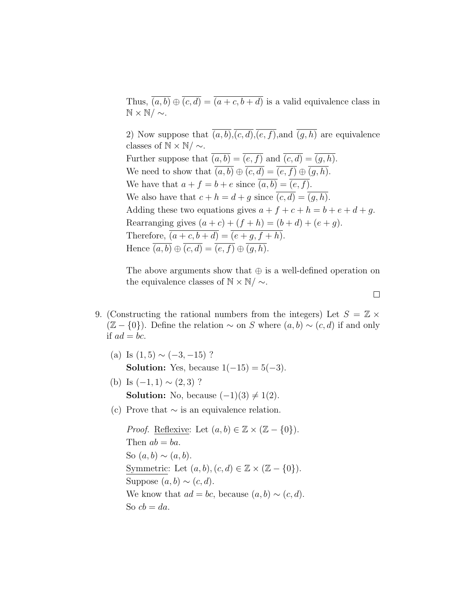Thus,  $\overline{(a, b)} \oplus \overline{(c, d)} = \overline{(a + c, b + d)}$  is a valid equivalence class in  $\mathbb{N} \times \mathbb{N}/\sim$ .

2) Now suppose that  $\overline{(a, b)}, \overline{(c, d)}, \overline{(e, f)},$  and  $\overline{(q, h)}$  are equivalence classes of  $\mathbb{N} \times \mathbb{N}/\sim$ . Further suppose that  $\overline{(a, b)} = \overline{(e, f)}$  and  $\overline{(c, d)} = \overline{(g, h)}$ . We need to show that  $\overline{(a, b)} \oplus \overline{(c, d)} = \overline{(e, f)} \oplus \overline{(g, h)}$ . We have that  $a + f = b + e$  since  $\overline{(a, b)} = \overline{(e, f)}$ . We also have that  $c + h = d + g$  since  $\overline{(c, d)} = \overline{(g, h)}$ . Adding these two equations gives  $a + f + c + h = b + e + d + g$ . Rearranging gives  $(a + c) + (f + h) = (b + d) + (e + g)$ . Therefore,  $\overline{(a+c, b+d)} = \overline{(e+g, f+h)}$ . Hence  $\overline{(a, b)} \oplus \overline{(c, d)} = \overline{(e, f)} \oplus \overline{(q, h)}$ .

The above arguments show that  $\oplus$  is a well-defined operation on the equivalence classes of  $\mathbb{N} \times \mathbb{N}/\sim$ .

- 9. (Constructing the rational numbers from the integers) Let  $S = \mathbb{Z} \times$  $(\mathbb{Z} - \{0\})$ . Define the relation  $\sim$  on S where  $(a, b) \sim (c, d)$  if and only if  $ad = bc$ .
	- (a) Is  $(1, 5) \sim (-3, -15)$ ? **Solution:** Yes, because  $1(-15) = 5(-3)$ .
	- (b) Is  $(-1, 1) \sim (2, 3)$  ? **Solution:** No, because  $(-1)(3) \neq 1(2)$ .
	- (c) Prove that  $\sim$  is an equivalence relation.

*Proof.* <u>Reflexive</u>: Let  $(a, b) \in \mathbb{Z} \times (\mathbb{Z} - \{0\})$ . Then  $ab = ba$ . So  $(a, b) \sim (a, b)$ . Symmetric: Let  $(a, b), (c, d) \in \mathbb{Z} \times (\mathbb{Z} - \{0\}).$ Suppose  $(a, b) \sim (c, d)$ . We know that  $ad = bc$ , because  $(a, b) \sim (c, d)$ . So  $cb = da$ .

 $\Box$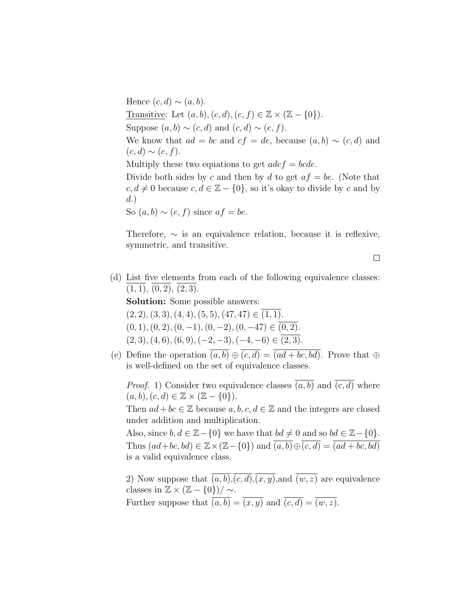Hence  $(c, d) \sim (a, b)$ . Transitive: Let  $(a, b), (c, d), (e, f) \in \mathbb{Z} \times (\mathbb{Z} - \{0\}).$ Suppose  $(a, b) \sim (c, d)$  and  $(c, d) \sim (e, f)$ . We know that  $ad = bc$  and  $cf = de$ , because  $(a, b) \sim (c, d)$  and  $(c,d) \sim (e,f).$ Multiply these two equations to get  $adcf = bcde$ . Divide both sides by c and then by d to get  $af = be$ . (Note that  $c, d \neq 0$  because  $c, d \in \mathbb{Z} - \{0\}$ , so it's okay to divide by c and by d.) So  $(a, b) \sim (e, f)$  since  $af = be$ .

Therefore,  $\sim$  is an equivalence relation, because it is reflexive, symmetric, and transitive.

- $\Box$
- (d) List five elements from each of the following equivalence classes:  $(1, 1), (0, 2), (2, 3).$

Solution: Some possible answers:

 $(2, 2), (3, 3), (4, 4), (5, 5), (47, 47) \in (1, 1).$  $(0, 1), (0, 2), (0, -1), (0, -2), (0, -47) \in (0, 2).$  $(2, 3), (4, 6), (6, 9), (-2, -3), (-4, -6) \in (2, 3).$ 

(e) Define the operation  $\overline{(a, b)} \oplus \overline{(c, d)} = \overline{(ad + bc, bd)}$ . Prove that  $\oplus$ is well-defined on the set of equivalence classes.

*Proof.* 1) Consider two equivalence classes  $\overline{(a, b)}$  and  $\overline{(c, d)}$  where  $(a, b), (c, d) \in \mathbb{Z} \times (\mathbb{Z} - \{0\}).$ 

Then  $ad + bc \in \mathbb{Z}$  because  $a, b, c, d \in \mathbb{Z}$  and the integers are closed under addition and multiplication.

Also, since  $b, d \in \mathbb{Z} - \{0\}$  we have that  $bd \neq 0$  and so  $bd \in \mathbb{Z} - \{0\}$ . Thus  $(ad+bc, bd) \in \mathbb{Z} \times (\mathbb{Z}-\{0\})$  and  $\overline{(a, b)} \oplus \overline{(c, d)} = \overline{(ad+bc, bd)}$ is a valid equivalence class.

2) Now suppose that  $\overline{(a, b)}, \overline{(c, d)}, \overline{(x, y)},$  and  $\overline{(w, z)}$  are equivalence classes in  $\mathbb{Z} \times (\mathbb{Z} - \{0\}) / \sim$ . Further suppose that  $\overline{(a, b)} = \overline{(x, y)}$  and  $\overline{(c, d)} = \overline{(w, z)}$ .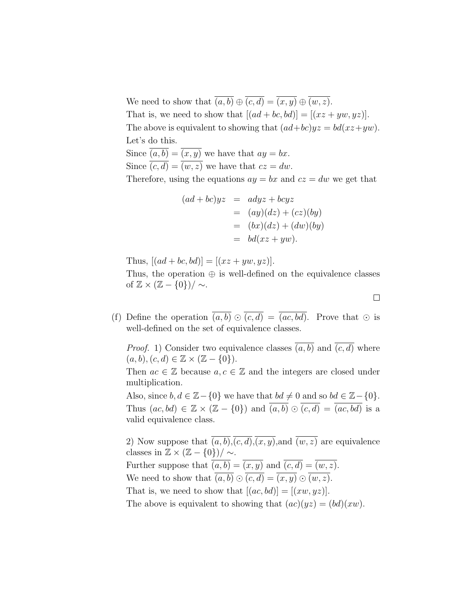We need to show that  $\overline{(a, b)} \oplus \overline{(c, d)} = \overline{(x, y)} \oplus \overline{(w, z)}$ . That is, we need to show that  $[(ad + bc, bd)] = [(xz + yw, yz)].$ The above is equivalent to showing that  $(ad+bc)yz = bd(xz+yw)$ . Let's do this. Since  $\overline{(a, b)} = \overline{(x, y)}$  we have that  $ay = bx$ . Since  $\overline{(c, d)} = \overline{(w, z)}$  we have that  $cz = dw$ . Therefore, using the equations  $ay = bx$  and  $cz = dw$  we get that

$$
(ad+bc)yz = adyz + bcyz
$$
  
= (ay)(dz) + (cz)(by)  
= (bx)(dz) + (dw)(by)  
= bd(xz + yw).

Thus,  $[(ad + bc, bd)] = [(xz + yw, yz)].$ 

Thus, the operation  $\oplus$  is well-defined on the equivalence classes of  $\mathbb{Z} \times (\mathbb{Z} - \{0\}) / \sim$ .

 $\Box$ 

(f) Define the operation  $\overline{(a,b)} \odot \overline{(c,d)} = \overline{(ac,bd)}$ . Prove that  $\odot$  is well-defined on the set of equivalence classes.

*Proof.* 1) Consider two equivalence classes  $\overline{(a, b)}$  and  $\overline{(c, d)}$  where  $(a, b), (c, d) \in \mathbb{Z} \times (\mathbb{Z} - \{0\}).$ 

Then  $ac \in \mathbb{Z}$  because  $a, c \in \mathbb{Z}$  and the integers are closed under multiplication.

Also, since  $b, d \in \mathbb{Z} - \{0\}$  we have that  $bd \neq 0$  and so  $bd \in \mathbb{Z} - \{0\}$ . Thus  $(ac, bd) \in \mathbb{Z} \times (\mathbb{Z} - \{0\})$  and  $\overline{(a, b)} \odot \overline{(c, d)} = \overline{(ac, bd)}$  is a valid equivalence class.

2) Now suppose that  $\overline{(a, b)}, \overline{(c, d)}, \overline{(x, y)},$  and  $\overline{(w, z)}$  are equivalence classes in  $\mathbb{Z} \times (\mathbb{Z} - \{0\}) / \sim.$ Further suppose that  $\overline{(a, b)} = \overline{(x, y)}$  and  $\overline{(c, d)} = \overline{(w, z)}$ . We need to show that  $\overline{(a, b)} \odot \overline{(c, d)} = \overline{(x, y)} \odot \overline{(w, z)}$ . That is, we need to show that  $[(ac, bd)] = [(xw, yz)].$ The above is equivalent to showing that  $(ac)(yz) = (bd)(xw)$ .